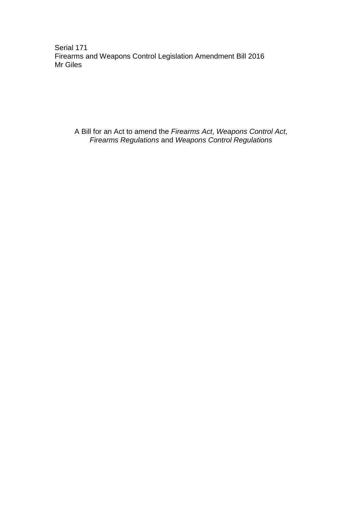Serial 171 Firearms and Weapons Control Legislation Amendment Bill 2016 Mr Giles

A Bill for an Act to amend the *Firearms Act*, *Weapons Control Act*, *Firearms Regulations* and *Weapons Control Regulations*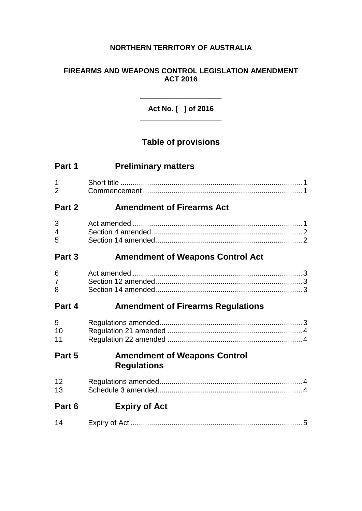## **NORTHERN TERRITORY OF AUSTRALIA**

### **FIREARMS AND WEAPONS CONTROL LEGISLATION AMENDMENT ACT 2016**

**Act No. [ ] of 2016** \_\_\_\_\_\_\_\_\_\_\_\_\_\_\_\_\_\_\_\_

\_\_\_\_\_\_\_\_\_\_\_\_\_\_\_\_\_\_\_\_

# **Table of provisions**

| Part 1              | <b>Preliminary matters</b>                                |
|---------------------|-----------------------------------------------------------|
| 1<br>$\overline{2}$ |                                                           |
| Part 2              | <b>Amendment of Firearms Act</b>                          |
| 3<br>4<br>5         |                                                           |
| Part 3              | <b>Amendment of Weapons Control Act</b>                   |
| 6<br>7<br>8         |                                                           |
| Part 4              | <b>Amendment of Firearms Regulations</b>                  |
| 9<br>10<br>11       |                                                           |
| Part 5              | <b>Amendment of Weapons Control</b><br><b>Regulations</b> |
| 12<br>13            |                                                           |
| Part 6              | <b>Expiry of Act</b>                                      |
| 14                  |                                                           |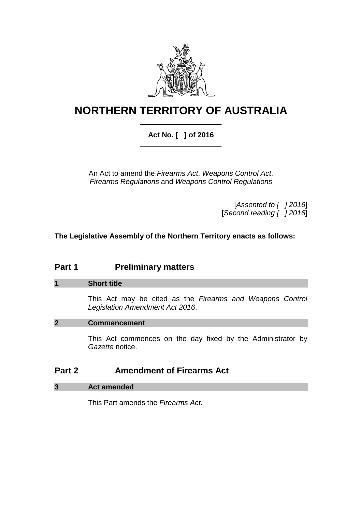

# **NORTHERN TERRITORY OF AUSTRALIA** \_\_\_\_\_\_\_\_\_\_\_\_\_\_\_\_\_\_\_\_

## **Act No. [ ] of 2016** \_\_\_\_\_\_\_\_\_\_\_\_\_\_\_\_\_\_\_\_

An Act to amend the *Firearms Act*, *Weapons Control Act*, *Firearms Regulations* and *Weapons Control Regulations*

> [*Assented to [ ] 2016*] [*Second reading [ ] 2016*]

**The Legislative Assembly of the Northern Territory enacts as follows:**

# **Part 1 Preliminary matters**

#### **1 Short title**

This Act may be cited as the *Firearms and Weapons Control Legislation Amendment Act 2016*.

#### **2 Commencement**

This Act commences on the day fixed by the Administrator by *Gazette* notice.

## **Part 2 Amendment of Firearms Act**

#### **3 Act amended**

This Part amends the *Firearms Act*.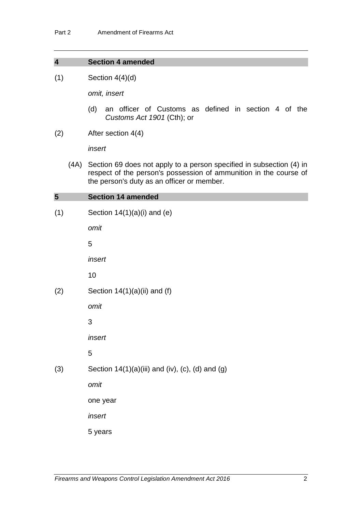#### **4 Section 4 amended**

 $(1)$  Section 4(4)(d)

*omit, insert* 

- (d) an officer of Customs as defined in section 4 of the *Customs Act 1901* (Cth); or
- (2) After section 4(4)

*insert*

(4A) Section 69 does not apply to a person specified in subsection (4) in respect of the person's possession of ammunition in the course of the person's duty as an officer or member.

### **All Contract Contract**

| $\overline{\mathbf{5}}$ | <b>Section 14 amended</b>                        |
|-------------------------|--------------------------------------------------|
| (1)                     | Section $14(1)(a)(i)$ and (e)                    |
|                         | omit                                             |
|                         | 5                                                |
|                         | insert                                           |
|                         | 10                                               |
| (2)                     | Section $14(1)(a)(ii)$ and (f)                   |
|                         | omit                                             |
|                         | 3                                                |
|                         | insert                                           |
|                         | 5                                                |
| (3)                     | Section 14(1)(a)(iii) and (iv), (c), (d) and (g) |
|                         | omit                                             |
|                         | one year                                         |
|                         | insert                                           |
|                         | 5 years                                          |
|                         |                                                  |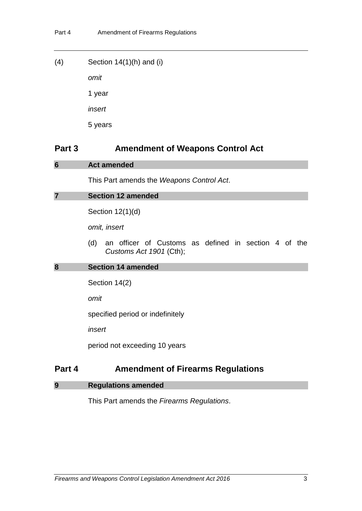| (4) | Section $14(1)(h)$ and (i) |
|-----|----------------------------|
|     | omit                       |
|     | 1 year                     |
|     | insert                     |
|     | 5 years                    |

## **Part 3 Amendment of Weapons Control Act**

#### **6 Act amended**

This Part amends the *Weapons Control Act*.

```
7 Section 12 amended
```
Section 12(1)(d)

*omit, insert*

(d) an officer of Customs as defined in section 4 of the *Customs Act 1901* (Cth);

#### **8 Section 14 amended**

Section 14(2)

*omit*

specified period or indefinitely

*insert*

period not exceeding 10 years

# **Part 4 Amendment of Firearms Regulations**

#### **9 Regulations amended**

This Part amends the *Firearms Regulations*.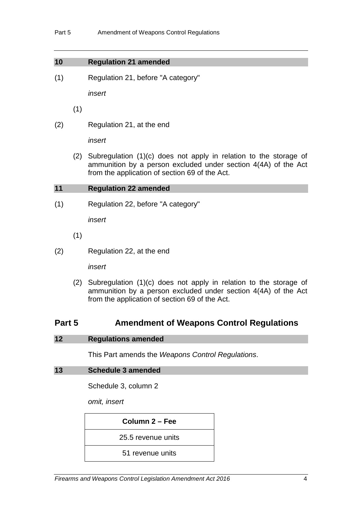#### **10 Regulation 21 amended**

(1) Regulation 21, before "A category"

*insert* 

(1)

(2) Regulation 21, at the end

*insert* 

(2) Subregulation (1)(c) does not apply in relation to the storage of ammunition by a person excluded under section 4(4A) of the Act from the application of section 69 of the Act.

#### **11 Regulation 22 amended**

(1) Regulation 22, before "A category"

*insert*

- (1)
- (2) Regulation 22, at the end

*insert*

(2) Subregulation (1)(c) does not apply in relation to the storage of ammunition by a person excluded under section 4(4A) of the Act from the application of section 69 of the Act.

## **Part 5 Amendment of Weapons Control Regulations**

#### **12 Regulations amended**

This Part amends the *Weapons Control Regulations*.

#### **13 Schedule 3 amended**

Schedule 3, column 2

*omit, insert*

| Column 2 – Fee     |  |
|--------------------|--|
| 25.5 revenue units |  |
| 51 revenue units   |  |